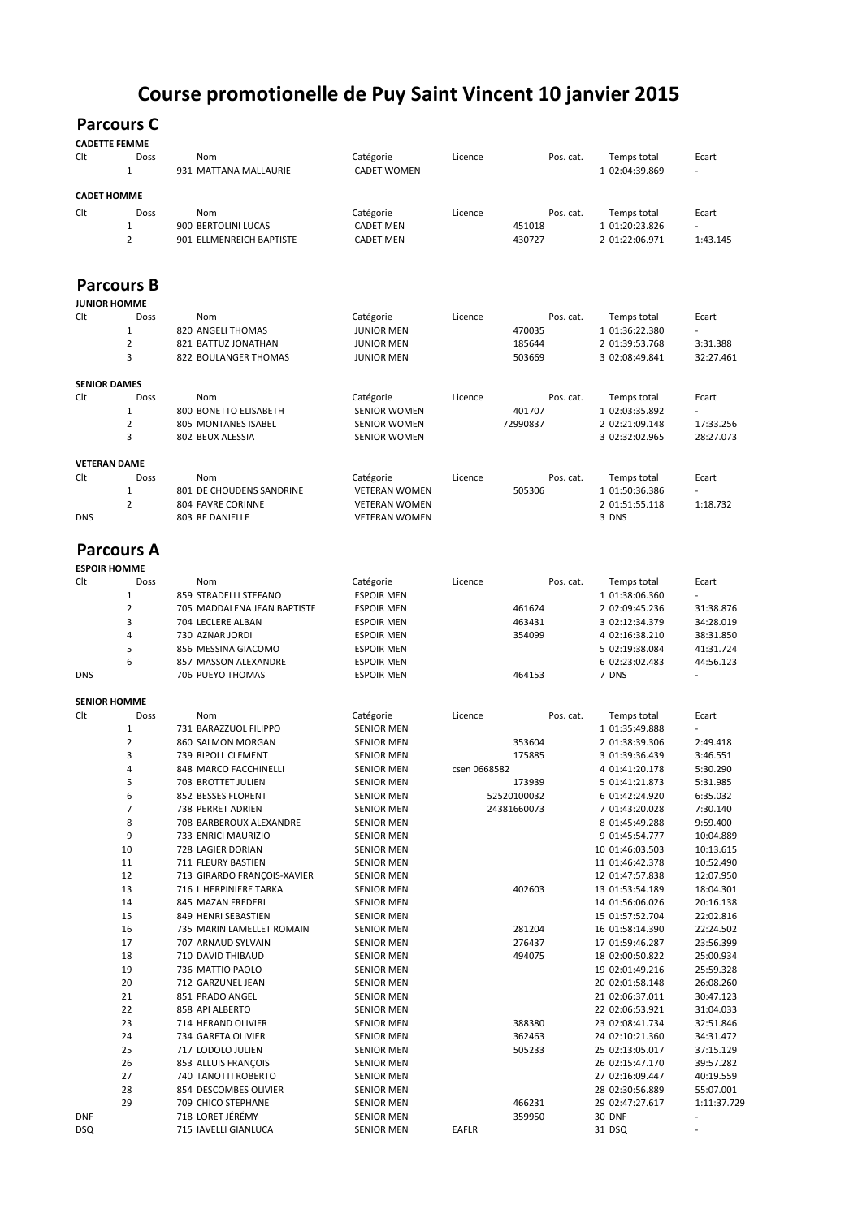## **Course promotionelle de Puy Saint Vincent 10 janvier 2015**

## **Parcours C**

| <b>CADETTE FEMME</b> |  |
|----------------------|--|
|----------------------|--|

| Clt | Doss<br>1                     | Nom<br>931 MATTANA MALLAURIE                  | Catégorie<br><b>CADET WOMEN</b>              | Licence      | Pos. cat.        | Temps total<br>1 02:04:39.869      | Ecart                  |
|-----|-------------------------------|-----------------------------------------------|----------------------------------------------|--------------|------------------|------------------------------------|------------------------|
|     | <b>CADET HOMME</b>            |                                               |                                              |              |                  |                                    |                        |
| Clt | Doss                          | Nom                                           |                                              | Licence      | Pos. cat.        |                                    | Ecart                  |
|     | $\mathbf{1}$                  | 900 BERTOLINI LUCAS                           | Catégorie<br><b>CADET MEN</b>                |              | 451018           | Temps total<br>1 01:20:23.826      |                        |
|     | $\overline{2}$                | 901 ELLMENREICH BAPTISTE                      | <b>CADET MEN</b>                             |              | 430727           | 2 01:22:06.971                     | 1:43.145               |
|     |                               |                                               |                                              |              |                  |                                    |                        |
|     | <b>Parcours B</b>             |                                               |                                              |              |                  |                                    |                        |
| Clt | <b>JUNIOR HOMME</b><br>Doss   | Nom                                           |                                              | Licence      | Pos. cat.        |                                    | Ecart                  |
|     | $\mathbf{1}$                  | 820 ANGELI THOMAS                             | Catégorie<br><b>JUNIOR MEN</b>               |              | 470035           | Temps total<br>1 01:36:22.380      |                        |
|     | $\overline{2}$                | 821 BATTUZ JONATHAN                           | <b>JUNIOR MEN</b>                            |              | 185644           | 2 01:39:53.768                     | 3:31.388               |
|     | 3                             | 822 BOULANGER THOMAS                          | <b>JUNIOR MEN</b>                            |              | 503669           | 3 02:08:49.841                     | 32:27.461              |
|     | <b>SENIOR DAMES</b>           |                                               |                                              |              |                  |                                    |                        |
| Clt | Doss                          | Nom                                           | Catégorie                                    | Licence      | Pos. cat.        | Temps total                        | Ecart                  |
|     | $\mathbf{1}$                  | 800 BONETTO ELISABETH                         | <b>SENIOR WOMEN</b>                          |              | 401707           | 1 02:03:35.892                     |                        |
|     | $\overline{2}$                | 805 MONTANES ISABEL                           | <b>SENIOR WOMEN</b>                          |              | 72990837         | 2 02:21:09.148                     | 17:33.256              |
|     | 3                             | 802 BEUX ALESSIA                              | <b>SENIOR WOMEN</b>                          |              |                  | 3 02:32:02.965                     | 28:27.073              |
|     | <b>VETERAN DAME</b>           |                                               |                                              |              |                  |                                    |                        |
| Clt | Doss                          | Nom                                           | Catégorie                                    | Licence      | Pos. cat.        | Temps total                        | Ecart                  |
|     | $\mathbf 1$<br>$\overline{2}$ | 801 DE CHOUDENS SANDRINE<br>804 FAVRE CORINNE | <b>VETERAN WOMEN</b><br><b>VETERAN WOMEN</b> |              | 505306           | 1 01:50:36.386                     | 1:18.732               |
| DNS |                               | 803 RE DANIELLE                               | <b>VETERAN WOMEN</b>                         |              |                  | 2 01:51:55.118<br>3 DNS            |                        |
|     |                               |                                               |                                              |              |                  |                                    |                        |
|     | <b>Parcours A</b>             |                                               |                                              |              |                  |                                    |                        |
| Clt | <b>ESPOIR HOMME</b><br>Doss   | Nom                                           | Catégorie                                    | Licence      | Pos. cat.        | Temps total                        | Ecart                  |
|     | $\mathbf{1}$                  | 859 STRADELLI STEFANO                         | <b>ESPOIR MEN</b>                            |              |                  | 1 01:38:06.360                     |                        |
|     | $\overline{2}$                | 705 MADDALENA JEAN BAPTISTE                   | <b>ESPOIR MEN</b>                            |              | 461624           | 2 02:09:45.236                     | 31:38.876              |
|     | 3                             | 704 LECLERE ALBAN                             | <b>ESPOIR MEN</b>                            |              | 463431           | 3 02:12:34.379                     | 34:28.019              |
|     | 4                             | 730 AZNAR JORDI                               | <b>ESPOIR MEN</b>                            |              | 354099           | 4 02:16:38.210                     | 38:31.850              |
|     | 5<br>6                        | 856 MESSINA GIACOMO                           | <b>ESPOIR MEN</b>                            |              |                  | 5 02:19:38.084                     | 41:31.724              |
| DNS |                               | 857 MASSON ALEXANDRE<br>706 PUEYO THOMAS      | <b>ESPOIR MEN</b><br><b>ESPOIR MEN</b>       |              | 464153           | 6 02:23:02.483<br>7 DNS            | 44:56.123              |
|     | <b>SENIOR HOMME</b>           |                                               |                                              |              |                  |                                    |                        |
| Clt | Doss                          | Nom                                           | Catégorie                                    | Licence      | Pos. cat.        | Temps total                        | Ecart                  |
|     | $\mathbf{1}$                  | 731 BARAZZUOL FILIPPO                         | <b>SENIOR MEN</b>                            |              |                  | 1 01:35:49.888                     |                        |
|     | $\overline{2}$                | 860 SALMON MORGAN                             | <b>SENIOR MEN</b>                            |              | 353604           | 2 01:38:39.306                     | 2:49.418               |
|     | 3                             | 739 RIPOLL CLEMENT                            | <b>SENIOR MEN</b>                            |              | 175885           | 3 01:39:36.439                     | 3:46.551               |
|     | 4<br>5                        | 848 MARCO FACCHINELLI<br>703 BROTTET JULIEN   | <b>SENIOR MEN</b><br><b>SENIOR MEN</b>       | csen 0668582 | 173939           | 4 01:41:20.178<br>5 01:41:21.873   | 5:30.290<br>5:31.985   |
|     | 6                             | 852 BESSES FLORENT                            | <b>SENIOR MEN</b>                            |              | 52520100032      | 6 01:42:24.920                     | 6:35.032               |
|     | 7                             | 738 PERRET ADRIEN                             | SENIOR MEN                                   |              | 24381660073      | 7 01:43:20.028                     | 7:30.140               |
|     | 8                             | 708 BARBEROUX ALEXANDRE                       | SENIOR MEN                                   |              |                  | 8 01:45:49.288                     | 9:59.400               |
|     | 9                             | 733 ENRICI MAURIZIO                           | <b>SENIOR MEN</b>                            |              |                  | 9 01:45:54.777                     | 10:04.889              |
|     | 10                            | 728 LAGIER DORIAN<br>711 FLEURY BASTIEN       | <b>SENIOR MEN</b>                            |              |                  | 10 01:46:03.503                    | 10:13.615              |
|     | 11<br>12                      | 713 GIRARDO FRANÇOIS-XAVIER                   | <b>SENIOR MEN</b><br><b>SENIOR MEN</b>       |              |                  | 11 01:46:42.378<br>12 01:47:57.838 | 10:52.490<br>12:07.950 |
|     | 13                            | 716 L HERPINIERE TARKA                        | <b>SENIOR MEN</b>                            |              | 402603           | 13 01:53:54.189                    | 18:04.301              |
|     | 14                            | 845 MAZAN FREDERI                             | <b>SENIOR MEN</b>                            |              |                  | 14 01:56:06.026                    | 20:16.138              |
|     | 15                            | 849 HENRI SEBASTIEN                           | <b>SENIOR MEN</b>                            |              |                  | 15 01:57:52.704                    | 22:02.816              |
|     | 16                            | 735 MARIN LAMELLET ROMAIN                     | <b>SENIOR MEN</b>                            |              | 281204           | 16 01:58:14.390                    | 22:24.502              |
|     | 17                            | 707 ARNAUD SYLVAIN<br>710 DAVID THIBAUD       | <b>SENIOR MEN</b>                            |              | 276437           | 17 01:59:46.287                    | 23:56.399<br>25:00.934 |
|     | 18<br>19                      | 736 MATTIO PAOLO                              | <b>SENIOR MEN</b><br><b>SENIOR MEN</b>       |              | 494075           | 18 02:00:50.822<br>19 02:01:49.216 | 25:59.328              |
|     | 20                            | 712 GARZUNEL JEAN                             | SENIOR MEN                                   |              |                  | 20 02:01:58.148                    | 26:08.260              |
|     | 21                            | 851 PRADO ANGEL                               | <b>SENIOR MEN</b>                            |              |                  | 21 02:06:37.011                    | 30:47.123              |
|     | 22                            | 858 API ALBERTO                               | <b>SENIOR MEN</b>                            |              |                  | 22 02:06:53.921                    | 31:04.033              |
|     | 23                            | 714 HERAND OLIVIER                            | <b>SENIOR MEN</b>                            |              | 388380           | 23 02:08:41.734                    | 32:51.846              |
|     | 24<br>25                      | 734 GARETA OLIVIER<br>717 LODOLO JULIEN       | <b>SENIOR MEN</b>                            |              | 362463<br>505233 | 24 02:10:21.360<br>25 02:13:05.017 | 34:31.472<br>37:15.129 |
|     | 26                            | 853 ALLUIS FRANÇOIS                           | <b>SENIOR MEN</b><br><b>SENIOR MEN</b>       |              |                  | 26 02:15:47.170                    | 39:57.282              |
|     | 27                            | 740 TANOTTI ROBERTO                           | <b>SENIOR MEN</b>                            |              |                  | 27 02:16:09.447                    | 40:19.559              |
|     | 28                            | 854 DESCOMBES OLIVIER                         | <b>SENIOR MEN</b>                            |              |                  | 28 02:30:56.889                    | 55:07.001              |
|     | 29                            | 709 CHICO STEPHANE                            | <b>SENIOR MEN</b>                            |              | 466231           | 29 02:47:27.617                    | 1:11:37.729            |
| DNF |                               | 718 LORET JÉRÉMY                              | SENIOR MEN                                   |              | 359950           | 30 DNF                             |                        |
| DSQ |                               | 715 IAVELLI GIANLUCA                          | <b>SENIOR MEN</b>                            | EAFLR        |                  | 31 DSQ                             |                        |